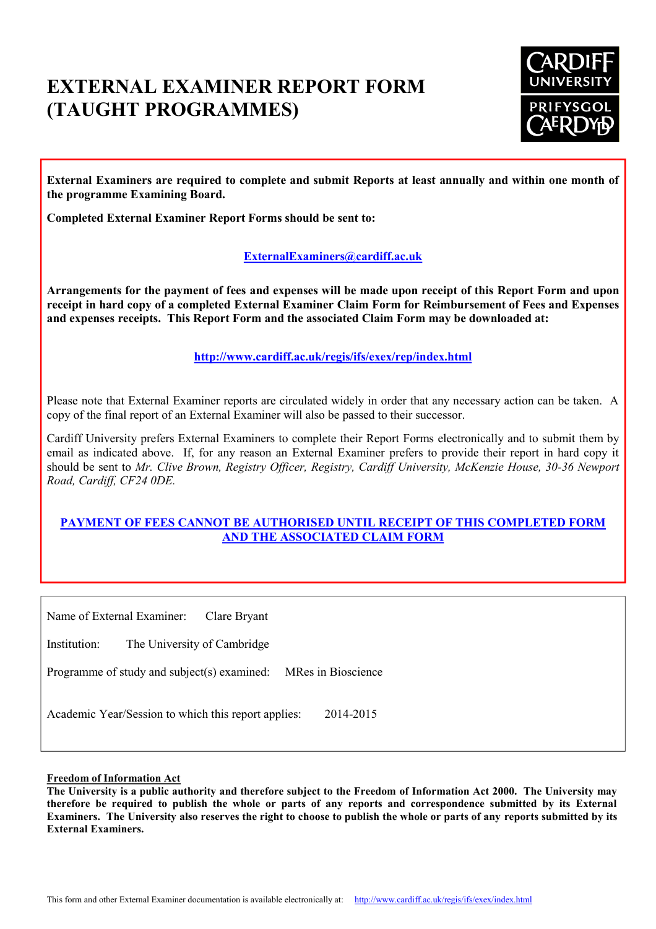# **EXTERNAL EXAMINER REPORT FORM (TAUGHT PROGRAMMES)**



**External Examiners are required to complete and submit Reports at least annually and within one month of the programme Examining Board.**

**Completed External Examiner Report Forms should be sent to:**

# **[ExternalExaminers@cardiff.ac.uk](mailto:ExternalExaminers@cardiff.ac.uk)**

**Arrangements for the payment of fees and expenses will be made upon receipt of this Report Form and upon receipt in hard copy of a completed External Examiner Claim Form for Reimbursement of Fees and Expenses and expenses receipts. This Report Form and the associated Claim Form may be downloaded at:**

**<http://www.cardiff.ac.uk/regis/ifs/exex/rep/index.html>**

Please note that External Examiner reports are circulated widely in order that any necessary action can be taken. A copy of the final report of an External Examiner will also be passed to their successor.

Cardiff University prefers External Examiners to complete their Report Forms electronically and to submit them by email as indicated above. If, for any reason an External Examiner prefers to provide their report in hard copy it should be sent to *Mr. Clive Brown, Registry Officer, Registry, Cardiff University, McKenzie House, 30-36 Newport Road, Cardiff, CF24 0DE.*

# **PAYMENT OF FEES CANNOT BE AUTHORISED UNTIL RECEIPT OF THIS COMPLETED FORM AND THE ASSOCIATED CLAIM FORM**

Name of External Examiner: Clare Bryant

Institution: The University of Cambridge

Programme of study and subject(s) examined: MRes in Bioscience

Academic Year/Session to which this report applies: 2014-2015

**Freedom of Information Act** 

**The University is a public authority and therefore subject to the Freedom of Information Act 2000. The University may therefore be required to publish the whole or parts of any reports and correspondence submitted by its External Examiners. The University also reserves the right to choose to publish the whole or parts of any reports submitted by its External Examiners.**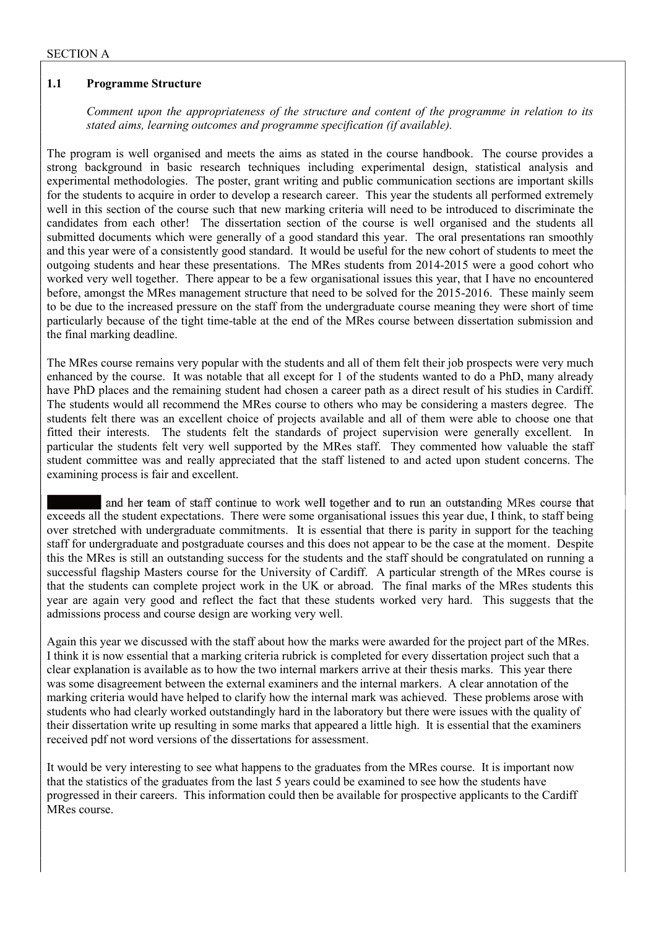#### **1.1 Programme Structure**

 *Comment upon the appropriateness of the structure and content of the programme in relation to its stated aims, learning outcomes and programme specification (if available).* 

The program is well organised and meets the aims as stated in the course handbook. The course provides a strong background in basic research techniques including experimental design, statistical analysis and experimental methodologies. The poster, grant writing and public communication sections are important skills for the students to acquire in order to develop a research career. This year the students all performed extremely well in this section of the course such that new marking criteria will need to be introduced to discriminate the candidates from each other! The dissertation section of the course is well organised and the students all submitted documents which were generally of a good standard this year. The oral presentations ran smoothly and this year were of a consistently good standard. It would be useful for the new cohort of students to meet the outgoing students and hear these presentations. The MRes students from 2014-2015 were a good cohort who worked very well together. There appear to be a few organisational issues this year, that I have no encountered before, amongst the MRes management structure that need to be solved for the 2015-2016. These mainly seem to be due to the increased pressure on the staff from the undergraduate course meaning they were short of time particularly because of the tight time-table at the end of the MRes course between dissertation submission and the final marking deadline.

The MRes course remains very popular with the students and all of them felt their job prospects were very much enhanced by the course. It was notable that all except for 1 of the students wanted to do a PhD, many already have PhD places and the remaining student had chosen a career path as a direct result of his studies in Cardiff. The students would all recommend the MRes course to others who may be considering a masters degree. The students felt there was an excellent choice of projects available and all of them were able to choose one that fitted their interests. The students felt the standards of project supervision were generally excellent. In particular the students felt very well supported by the MRes staff. They commented how valuable the staff student committee was and really appreciated that the staff listened to and acted upon student concerns. The examining process is fair and excellent.

 and her team of staff continue to work well together and to run an outstanding MRes course that exceeds all the student expectations. There were some organisational issues this year due, I think, to staff being over stretched with undergraduate commitments. It is essential that there is parity in support for the teaching staff for undergraduate and postgraduate courses and this does not appear to be the case at the moment. Despite this the MRes is still an outstanding success for the students and the staff should be congratulated on running a successful flagship Masters course for the University of Cardiff. A particular strength of the MRes course is that the students can complete project work in the UK or abroad. The final marks of the MRes students this year are again very good and reflect the fact that these students worked very hard. This suggests that the admissions process and course design are working very well.

Again this year we discussed with the staff about how the marks were awarded for the project part of the MRes. I think it is now essential that a marking criteria rubrick is completed for every dissertation project such that a clear explanation is available as to how the two internal markers arrive at their thesis marks. This year there was some disagreement between the external examiners and the internal markers. A clear annotation of the marking criteria would have helped to clarify how the internal mark was achieved. These problems arose with students who had clearly worked outstandingly hard in the laboratory but there were issues with the quality of their dissertation write up resulting in some marks that appeared a little high. It is essential that the examiners received pdf not word versions of the dissertations for assessment.

It would be very interesting to see what happens to the graduates from the MRes course. It is important now that the statistics of the graduates from the last 5 years could be examined to see how the students have progressed in their careers. This information could then be available for prospective applicants to the Cardiff MRes course.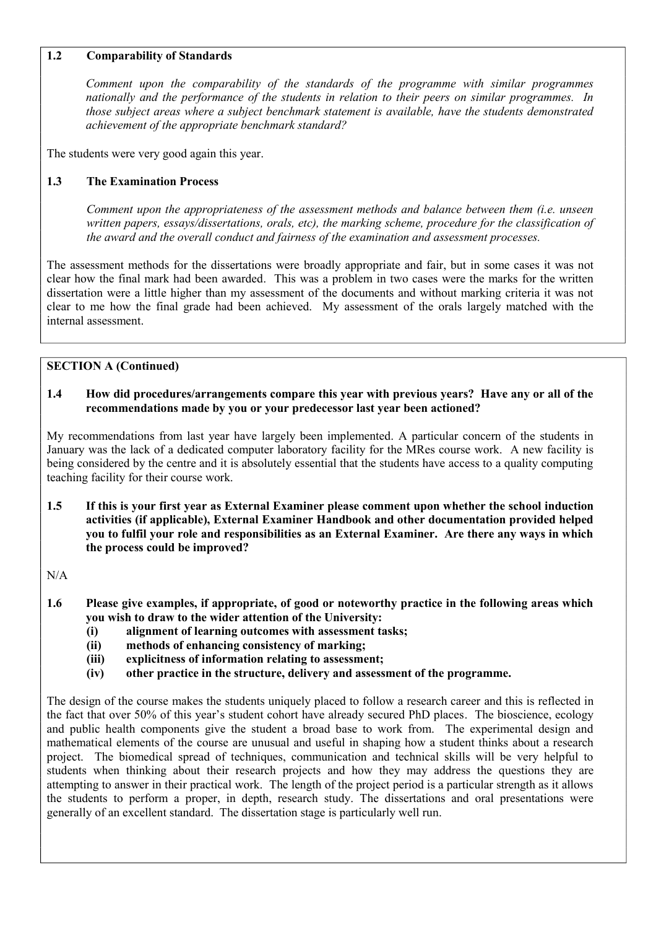## **1.2 Comparability of Standards**

 *Comment upon the comparability of the standards of the programme with similar programmes nationally and the performance of the students in relation to their peers on similar programmes. In those subject areas where a subject benchmark statement is available, have the students demonstrated achievement of the appropriate benchmark standard?* 

The students were very good again this year.

### **1.3 The Examination Process**

 *Comment upon the appropriateness of the assessment methods and balance between them (i.e. unseen written papers, essays/dissertations, orals, etc), the marking scheme, procedure for the classification of the award and the overall conduct and fairness of the examination and assessment processes.* 

The assessment methods for the dissertations were broadly appropriate and fair, but in some cases it was not clear how the final mark had been awarded. This was a problem in two cases were the marks for the written dissertation were a little higher than my assessment of the documents and without marking criteria it was not clear to me how the final grade had been achieved. My assessment of the orals largely matched with the internal assessment.

#### **SECTION A (Continued)**

#### **1.4 How did procedures/arrangements compare this year with previous years? Have any or all of the recommendations made by you or your predecessor last year been actioned?**

My recommendations from last year have largely been implemented. A particular concern of the students in January was the lack of a dedicated computer laboratory facility for the MRes course work. A new facility is being considered by the centre and it is absolutely essential that the students have access to a quality computing teaching facility for their course work.

**1.5 If this is your first year as External Examiner please comment upon whether the school induction activities (if applicable), External Examiner Handbook and other documentation provided helped you to fulfil your role and responsibilities as an External Examiner. Are there any ways in which the process could be improved?** 

N/A

- **1.6 Please give examples, if appropriate, of good or noteworthy practice in the following areas which you wish to draw to the wider attention of the University:** 
	- **(i) alignment of learning outcomes with assessment tasks;**
	- **(ii) methods of enhancing consistency of marking;**
	- **(iii) explicitness of information relating to assessment;**
	- **(iv) other practice in the structure, delivery and assessment of the programme.**

The design of the course makes the students uniquely placed to follow a research career and this is reflected in the fact that over 50% of this year's student cohort have already secured PhD places. The bioscience, ecology and public health components give the student a broad base to work from. The experimental design and mathematical elements of the course are unusual and useful in shaping how a student thinks about a research project. The biomedical spread of techniques, communication and technical skills will be very helpful to students when thinking about their research projects and how they may address the questions they are attempting to answer in their practical work. The length of the project period is a particular strength as it allows the students to perform a proper, in depth, research study. The dissertations and oral presentations were generally of an excellent standard. The dissertation stage is particularly well run.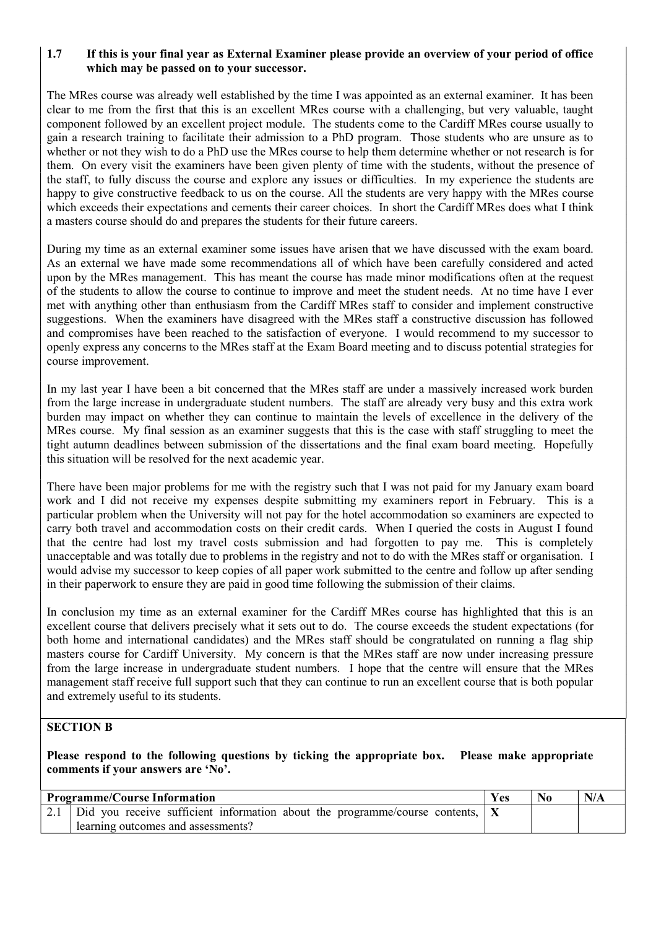## **1.7 If this is your final year as External Examiner please provide an overview of your period of office which may be passed on to your successor.**

The MRes course was already well established by the time I was appointed as an external examiner. It has been clear to me from the first that this is an excellent MRes course with a challenging, but very valuable, taught component followed by an excellent project module. The students come to the Cardiff MRes course usually to gain a research training to facilitate their admission to a PhD program. Those students who are unsure as to whether or not they wish to do a PhD use the MRes course to help them determine whether or not research is for them. On every visit the examiners have been given plenty of time with the students, without the presence of the staff, to fully discuss the course and explore any issues or difficulties. In my experience the students are happy to give constructive feedback to us on the course. All the students are very happy with the MRes course which exceeds their expectations and cements their career choices. In short the Cardiff MRes does what I think a masters course should do and prepares the students for their future careers.

During my time as an external examiner some issues have arisen that we have discussed with the exam board. As an external we have made some recommendations all of which have been carefully considered and acted upon by the MRes management. This has meant the course has made minor modifications often at the request of the students to allow the course to continue to improve and meet the student needs. At no time have I ever met with anything other than enthusiasm from the Cardiff MRes staff to consider and implement constructive suggestions. When the examiners have disagreed with the MRes staff a constructive discussion has followed and compromises have been reached to the satisfaction of everyone. I would recommend to my successor to openly express any concerns to the MRes staff at the Exam Board meeting and to discuss potential strategies for course improvement.

In my last year I have been a bit concerned that the MRes staff are under a massively increased work burden from the large increase in undergraduate student numbers. The staff are already very busy and this extra work burden may impact on whether they can continue to maintain the levels of excellence in the delivery of the MRes course. My final session as an examiner suggests that this is the case with staff struggling to meet the tight autumn deadlines between submission of the dissertations and the final exam board meeting. Hopefully this situation will be resolved for the next academic year.

There have been major problems for me with the registry such that I was not paid for my January exam board work and I did not receive my expenses despite submitting my examiners report in February. This is a particular problem when the University will not pay for the hotel accommodation so examiners are expected to carry both travel and accommodation costs on their credit cards. When I queried the costs in August I found that the centre had lost my travel costs submission and had forgotten to pay me. This is completely unacceptable and was totally due to problems in the registry and not to do with the MRes staff or organisation. I would advise my successor to keep copies of all paper work submitted to the centre and follow up after sending in their paperwork to ensure they are paid in good time following the submission of their claims.

In conclusion my time as an external examiner for the Cardiff MRes course has highlighted that this is an excellent course that delivers precisely what it sets out to do. The course exceeds the student expectations (for both home and international candidates) and the MRes staff should be congratulated on running a flag ship masters course for Cardiff University. My concern is that the MRes staff are now under increasing pressure from the large increase in undergraduate student numbers. I hope that the centre will ensure that the MRes management staff receive full support such that they can continue to run an excellent course that is both popular and extremely useful to its students.

#### **SECTION B**

**Please respond to the following questions by ticking the appropriate box. Please make appropriate comments if your answers are 'No'.**

| <b>Programme/Course Information</b>                                                              | <b>Yes</b> |  |
|--------------------------------------------------------------------------------------------------|------------|--|
| 2.1   Did you receive sufficient information about the programme/course contents, $ \mathbf{X} $ |            |  |
| learning outcomes and assessments?                                                               |            |  |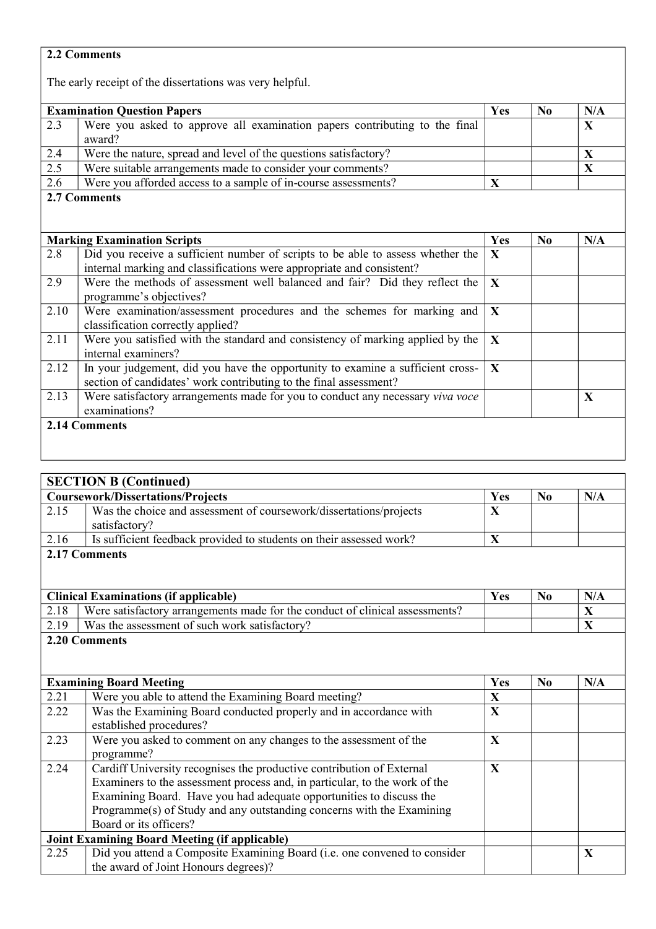# **2.2 Comments**

The early receipt of the dissertations was very helpful.

| <b>Examination Question Papers</b> |                                                                                                                                                     | Yes          | N <sub>0</sub> | N/A          |
|------------------------------------|-----------------------------------------------------------------------------------------------------------------------------------------------------|--------------|----------------|--------------|
| 2.3                                | Were you asked to approve all examination papers contributing to the final<br>award?                                                                |              |                | $\mathbf{X}$ |
| 2.4                                | Were the nature, spread and level of the questions satisfactory?                                                                                    |              |                | X            |
| 2.5                                | Were suitable arrangements made to consider your comments?                                                                                          |              |                | X            |
| 2.6                                | Were you afforded access to a sample of in-course assessments?                                                                                      | X            |                |              |
|                                    | 2.7 Comments                                                                                                                                        |              |                |              |
|                                    |                                                                                                                                                     |              |                |              |
| <b>Marking Examination Scripts</b> |                                                                                                                                                     | Yes          | N <sub>0</sub> | N/A          |
| 2.8                                | Did you receive a sufficient number of scripts to be able to assess whether the                                                                     | X            |                |              |
|                                    | internal marking and classifications were appropriate and consistent?                                                                               |              |                |              |
| 2.9                                | Were the methods of assessment well balanced and fair? Did they reflect the<br>programme's objectives?                                              | $\mathbf{X}$ |                |              |
| 2.10                               | Were examination/assessment procedures and the schemes for marking and<br>classification correctly applied?                                         | X            |                |              |
| 2.11                               | Were you satisfied with the standard and consistency of marking applied by the<br>internal examiners?                                               | $\mathbf{X}$ |                |              |
| 2.12                               | In your judgement, did you have the opportunity to examine a sufficient cross-<br>section of candidates' work contributing to the final assessment? | $\mathbf{X}$ |                |              |
| 2.13                               | Were satisfactory arrangements made for you to conduct any necessary viva voce<br>examinations?                                                     |              |                | X            |
| 2.14 Comments                      |                                                                                                                                                     |              |                |              |

| <b>SECTION B (Continued)</b>                         |                                                                              |              |                |     |
|------------------------------------------------------|------------------------------------------------------------------------------|--------------|----------------|-----|
| <b>Coursework/Dissertations/Projects</b>             |                                                                              |              | $\bf No$       | N/A |
| 2.15                                                 | Was the choice and assessment of coursework/dissertations/projects           | X            |                |     |
|                                                      | satisfactory?                                                                |              |                |     |
| 2.16                                                 | Is sufficient feedback provided to students on their assessed work?          | $\mathbf{X}$ |                |     |
|                                                      | 2.17 Comments                                                                |              |                |     |
|                                                      |                                                                              |              |                |     |
|                                                      |                                                                              |              |                |     |
| <b>Clinical Examinations (if applicable)</b>         |                                                                              | Yes          | $\bf No$       | N/A |
| 2.18                                                 | Were satisfactory arrangements made for the conduct of clinical assessments? |              |                | X   |
| 2.19                                                 | Was the assessment of such work satisfactory?                                |              |                | X   |
|                                                      | 2.20 Comments                                                                |              |                |     |
|                                                      |                                                                              |              |                |     |
|                                                      |                                                                              |              |                |     |
| <b>Examining Board Meeting</b>                       |                                                                              | Yes          | N <sub>0</sub> | N/A |
| 2.21                                                 | Were you able to attend the Examining Board meeting?                         | $\mathbf X$  |                |     |
| 2.22                                                 | Was the Examining Board conducted properly and in accordance with            | $\mathbf X$  |                |     |
|                                                      | established procedures?                                                      |              |                |     |
| 2.23                                                 | Were you asked to comment on any changes to the assessment of the            | $\mathbf{X}$ |                |     |
|                                                      | programme?                                                                   |              |                |     |
| 2.24                                                 | Cardiff University recognises the productive contribution of External        | X            |                |     |
|                                                      | Examiners to the assessment process and, in particular, to the work of the   |              |                |     |
|                                                      | Examining Board. Have you had adequate opportunities to discuss the          |              |                |     |
|                                                      | Programme(s) of Study and any outstanding concerns with the Examining        |              |                |     |
|                                                      | Board or its officers?                                                       |              |                |     |
| <b>Joint Examining Board Meeting (if applicable)</b> |                                                                              |              |                |     |
| 2.25                                                 | Did you attend a Composite Examining Board (i.e. one convened to consider    |              |                | X   |
|                                                      | the award of Joint Honours degrees)?                                         |              |                |     |